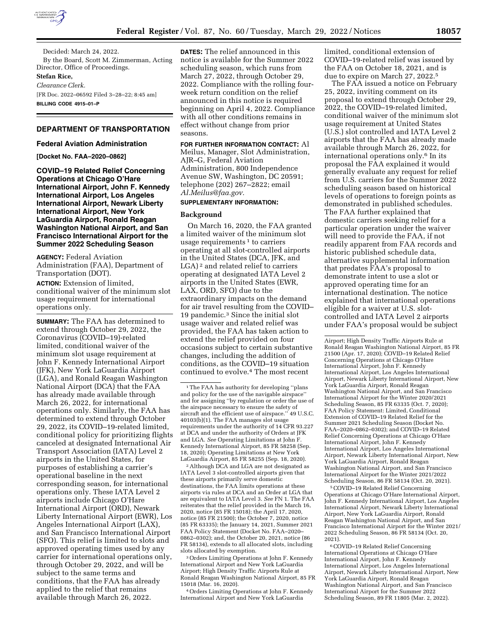

Decided: March 24, 2022. By the Board, Scott M. Zimmerman, Acting Director, Office of Proceedings. **Stefan Rice,**  *Clearance Clerk.*  [FR Doc. 2022–06592 Filed 3–28–22; 8:45 am]

**BILLING CODE 4915–01–P** 

### **DEPARTMENT OF TRANSPORTATION**

#### **Federal Aviation Administration**

### **[Docket No. FAA–2020–0862]**

**COVID–19 Related Relief Concerning Operations at Chicago O'Hare International Airport, John F. Kennedy International Airport, Los Angeles International Airport, Newark Liberty International Airport, New York LaGuardia Airport, Ronald Reagan Washington National Airport, and San Francisco International Airport for the Summer 2022 Scheduling Season** 

**AGENCY:** Federal Aviation Administration (FAA), Department of Transportation (DOT).

**ACTION:** Extension of limited, conditional waiver of the minimum slot usage requirement for international operations only.

**SUMMARY:** The FAA has determined to extend through October 29, 2022, the Coronavirus (COVID–19)-related limited, conditional waiver of the minimum slot usage requirement at John F. Kennedy International Airport (JFK), New York LaGuardia Airport (LGA), and Ronald Reagan Washington National Airport (DCA) that the FAA has already made available through March 26, 2022, for international operations only. Similarly, the FAA has determined to extend through October 29, 2022, its COVID–19-related limited, conditional policy for prioritizing flights canceled at designated International Air Transport Association (IATA) Level 2 airports in the United States, for purposes of establishing a carrier's operational baseline in the next corresponding season, for international operations only. These IATA Level 2 airports include Chicago O'Hare International Airport (ORD), Newark Liberty International Airport (EWR), Los Angeles International Airport (LAX), and San Francisco International Airport (SFO). This relief is limited to slots and approved operating times used by any carrier for international operations only, through October 29, 2022, and will be subject to the same terms and conditions, that the FAA has already applied to the relief that remains available through March 26, 2022.

**DATES:** The relief announced in this notice is available for the Summer 2022 scheduling season, which runs from March 27, 2022, through October 29, 2022. Compliance with the rolling fourweek return condition on the relief announced in this notice is required beginning on April 4, 2022. Compliance with all other conditions remains in effect without change from prior seasons.

**FOR FURTHER INFORMATION CONTACT:** Al Meilus, Manager, Slot Administration, AJR–G, Federal Aviation Administration, 800 Independence Avenue SW, Washington, DC 20591; telephone (202) 267–2822; email *[Al.Meilus@faa.gov.](mailto:Al.Meilus@faa.gov)* 

# **SUPPLEMENTARY INFORMATION:**

### **Background**

On March 16, 2020, the FAA granted a limited waiver of the minimum slot usage requirements  $1$  to carriers operating at all slot-controlled airports in the United States (DCA, JFK, and LGA)<sup>2</sup> and related relief to carriers operating at designated IATA Level 2 airports in the United States (EWR, LAX, ORD, SFO) due to the extraordinary impacts on the demand for air travel resulting from the COVID– 19 pandemic.3 Since the initial slot usage waiver and related relief was provided, the FAA has taken action to extend the relief provided on four occasions subject to certain substantive changes, including the addition of conditions, as the COVID–19 situation continued to evolve.4 The most recent

2Although DCA and LGA are not designated as IATA Level 3 slot-controlled airports given that these airports primarily serve domestic destinations, the FAA limits operations at these airports via rules at DCA and an Order at LGA that are equivalent to IATA Level 3. *See* FN 1. The FAA reiterates that the relief provided in the March 16, 2020, notice (85 FR 15018); the April 17, 2020, notice (85 FR 21500); the October 7, 2020, notice (85 FR 63335); the January 14, 2021, Summer 2021 FAA Policy Statement (Docket No. FAA–2020– 0862–0302); and, the October 20, 2021, notice (86 FR 58134), extends to all allocated slots, including slots allocated by exemption.

3Orders Limiting Operations at John F. Kennedy International Airport and New York LaGuardia Airport; High Density Traffic Airports Rule at Ronald Reagan Washington National Airport, 85 FR 15018 (Mar. 16, 2020).

4Orders Limiting Operations at John F. Kennedy International Airport and New York LaGuardia

limited, conditional extension of COVID–19-related relief was issued by the FAA on October 18, 2021, and is due to expire on March 27, 2022.5

The FAA issued a notice on February 25, 2022, inviting comment on its proposal to extend through October 29, 2022, the COVID–19-related limited, conditional waiver of the minimum slot usage requirement at United States (U.S.) slot controlled and IATA Level 2 airports that the FAA has already made available through March 26, 2022, for international operations only.6 In its proposal the FAA explained it would generally evaluate any request for relief from U.S. carriers for the Summer 2022 scheduling season based on historical levels of operations to foreign points as demonstrated in published schedules. The FAA further explained that domestic carriers seeking relief for a particular operation under the waiver will need to provide the FAA, if not readily apparent from FAA records and historic published schedule data, alternative supplemental information that predates FAA's proposal to demonstrate intent to use a slot or approved operating time for an international destination. The notice explained that international operations eligible for a waiver at U.S. slotcontrolled and IATA Level 2 airports under FAA's proposal would be subject

5COVID–19 Related Relief Concerning Operations at Chicago O'Hare International Airport, John F. Kennedy International Airport, Los Angeles International Airport, Newark Liberty International Airport, New York LaGuardia Airport, Ronald Reagan Washington National Airport, and San Francisco International Airport for the Winter 2021/ 2022 Scheduling Season, 86 FR 58134 (Oct. 20, 2021).

6COVID–19 Related Relief Concerning International Operations at Chicago O'Hare International Airport, John F. Kennedy International Airport, Los Angeles International Airport, Newark Liberty International Airport, New York LaGuardia Airport, Ronald Reagan Washington National Airport, and San Francisco International Airport for the Summer 2022 Scheduling Season, 89 FR 11805 (Mar. 2, 2022).

<sup>&</sup>lt;sup>1</sup>The FAA has authority for developing "plans and policy for the use of the navigable airspace'' and for assigning ''by regulation or order the use of the airspace necessary to ensure the safety of aircraft and the efficient use of airspace.'' 49 U.S.C. 40103(b)(1). The FAA manages slot usage requirements under the authority of 14 CFR 93.227 at DCA and under the authority of Orders at JFK and LGA. *See* Operating Limitations at John F. Kennedy International Airport, 85 FR 58258 (Sep. 18, 2020); Operating Limitations at New York LaGuardia Airport, 85 FR 58255 (Sep. 18, 2020).

Airport; High Density Traffic Airports Rule at Ronald Reagan Washington National Airport, 85 FR 21500 (Apr. 17, 2020); COVID–19 Related Relief Concerning Operations at Chicago O'Hare International Airport, John F. Kennedy International Airport, Los Angeles International Airport, Newark Liberty International Airport, New York LaGuardia Airport, Ronald Reagan Washington National Airport, and San Francisco International Airport for the Winter 2020/2021 Scheduling Season, 85 FR 63335 (Oct. 7, 2020); FAA Policy Statement: Limited, Conditional Extension of COVID–19 Related Relief for the Summer 2021 Scheduling Season (Docket No. FAA–2020–0862–0302); and COVID–19 Related Relief Concerning Operations at Chicago O'Hare International Airport, John F. Kennedy International Airport, Los Angeles International Airport, Newark Liberty International Airport, New York LaGuardia Airport, Ronald Reagan Washington National Airport, and San Francisco International Airport for the Winter 2021/2022 Scheduling Season, 86 FR 58134 (Oct. 20, 2021).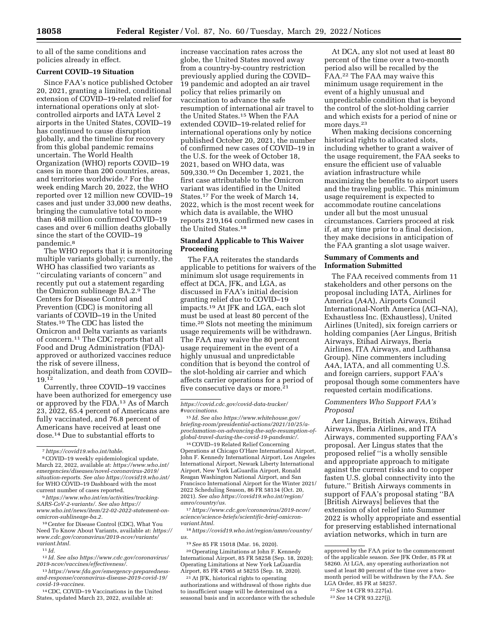to all of the same conditions and policies already in effect.

### **Current COVID–19 Situation**

Since FAA's notice published October 20, 2021, granting a limited, conditional extension of COVID–19-related relief for international operations only at slotcontrolled airports and IATA Level 2 airports in the United States, COVID–19 has continued to cause disruption globally, and the timeline for recovery from this global pandemic remains uncertain. The World Health Organization (WHO) reports COVID–19 cases in more than 200 countries, areas, and territories worldwide.7 For the week ending March 20, 2022, the WHO reported over 12 million new COVID–19 cases and just under 33,000 new deaths, bringing the cumulative total to more than 468 million confirmed COVID–19 cases and over 6 million deaths globally since the start of the COVID–19 pandemic.8

The WHO reports that it is monitoring multiple variants globally; currently, the WHO has classified two variants as ''circulating variants of concern'' and recently put out a statement regarding the Omicron sublineage BA.2.9 The Centers for Disease Control and Prevention (CDC) is monitoring all variants of COVID–19 in the United States.10 The CDC has listed the Omicron and Delta variants as variants of concern.11 The CDC reports that all Food and Drug Administration (FDA) approved or authorized vaccines reduce the risk of severe illness, hospitalization, and death from COVID– 19.12

Currently, three COVID–19 vaccines have been authorized for emergency use or approved by the FDA.13 As of March 23, 2022, 65.4 percent of Americans are fully vaccinated, and 76.8 percent of Americans have received at least one dose.14 Due to substantial efforts to

10Center for Disease Control (CDC), What You Need To Know About Variants, available at: *[https://](https://www.cdc.gov/coronavirus/2019-ncov/variants/variant.html)  [www.cdc.gov/coronavirus/2019-ncov/variants/](https://www.cdc.gov/coronavirus/2019-ncov/variants/variant.html) [variant.html.](https://www.cdc.gov/coronavirus/2019-ncov/variants/variant.html)* 

11 *Id.* 

12 *Id. See also [https://www.cdc.gov/coronavirus/](https://www.cdc.gov/coronavirus/2019-ncov/vaccines/effectiveness/) [2019-ncov/vaccines/effectiveness/.](https://www.cdc.gov/coronavirus/2019-ncov/vaccines/effectiveness/)* 

13*[https://www.fda.gov/emergency-preparedness](https://www.fda.gov/emergency-preparedness-and-response/coronavirus-disease-2019-covid-19/covid-19-vaccines)[and-response/coronavirus-disease-2019-covid-19/](https://www.fda.gov/emergency-preparedness-and-response/coronavirus-disease-2019-covid-19/covid-19-vaccines)  [covid-19-vaccines.](https://www.fda.gov/emergency-preparedness-and-response/coronavirus-disease-2019-covid-19/covid-19-vaccines)* 

14CDC, COVID–19 Vaccinations in the United States, updated March 23, 2022, available at:

increase vaccination rates across the globe, the United States moved away from a country-by-country restriction previously applied during the COVID– 19 pandemic and adopted an air travel policy that relies primarily on vaccination to advance the safe resumption of international air travel to the United States.15 When the FAA extended COVID–19-related relief for international operations only by notice published October 20, 2021, the number of confirmed new cases of COVID–19 in the U.S. for the week of October 18, 2021, based on WHO data, was 509,330.16 On December 1, 2021, the first case attributable to the Omicron variant was identified in the United States.17 For the week of March 14, 2022, which is the most recent week for which data is available, the WHO reports 219,164 confirmed new cases in the United States.18

### **Standard Applicable to This Waiver Proceeding**

The FAA reiterates the standards applicable to petitions for waivers of the minimum slot usage requirements in effect at DCA, JFK, and LGA, as discussed in FAA's initial decision granting relief due to COVID–19 impacts.19 At JFK and LGA, each slot must be used at least 80 percent of the time.20 Slots not meeting the minimum usage requirements will be withdrawn. The FAA may waive the 80 percent usage requirement in the event of a highly unusual and unpredictable condition that is beyond the control of the slot-holding air carrier and which affects carrier operations for a period of five consecutive days or more.<sup>21</sup>

*[https://covid.cdc.gov/covid-data-tracker/](https://covid.cdc.gov/covid-data-tracker/#vaccinations) [#vaccinations.](https://covid.cdc.gov/covid-data-tracker/#vaccinations)* 

15 *Id. See also [https://www.whitehouse.gov/](https://www.whitehouse.gov/briefing-room/presidential-actions/2021/10/25/a-proclamation-on-advancing-the-safe-resumption-of-global-travel-during-the-covid-19-pandemic/)  [briefing-room/presidential-actions/2021/10/25/a](https://www.whitehouse.gov/briefing-room/presidential-actions/2021/10/25/a-proclamation-on-advancing-the-safe-resumption-of-global-travel-during-the-covid-19-pandemic/)[proclamation-on-advancing-the-safe-resumption-of](https://www.whitehouse.gov/briefing-room/presidential-actions/2021/10/25/a-proclamation-on-advancing-the-safe-resumption-of-global-travel-during-the-covid-19-pandemic/)[global-travel-during-the-covid-19-pandemic/.](https://www.whitehouse.gov/briefing-room/presidential-actions/2021/10/25/a-proclamation-on-advancing-the-safe-resumption-of-global-travel-during-the-covid-19-pandemic/)* 

16COVID–19 Related Relief Concerning Operations at Chicago O'Hare International Airport, John F. Kennedy International Airport, Los Angeles International Airport, Newark Liberty International Airport, New York LaGuardia Airport, Ronald Reagan Washington National Airport, and San Francisco International Airport for the Winter 2021/ 2022 Scheduling Season, 86 FR 58134 (Oct. 20, 2021). *See also [https://covid19.who.int/region/](https://covid19.who.int/region/amro/country/us)  [amro/country/us.](https://covid19.who.int/region/amro/country/us)* 

17*[https://www.cdc.gov/coronavirus/2019-ncov/](https://www.cdc.gov/coronavirus/2019-ncov/science/science-briefs/scientific-brief-omicron-variant.html)  [science/science-briefs/scientific-brief-omicron](https://www.cdc.gov/coronavirus/2019-ncov/science/science-briefs/scientific-brief-omicron-variant.html)[variant.html.](https://www.cdc.gov/coronavirus/2019-ncov/science/science-briefs/scientific-brief-omicron-variant.html)* 

18*[https://covid19.who.int/region/amro/country/](https://covid19.who.int/region/amro/country/us)  [us.](https://covid19.who.int/region/amro/country/us)* 

19*See* 85 FR 15018 (Mar. 16, 2020).

20Operating Limitations at John F. Kennedy International Airport, 85 FR 58258 (Sep. 18, 2020); Operating Limitations at New York LaGuardia Airport, 85 FR 47065 at 58255 (Sep. 18, 2020).

21At JFK, historical rights to operating authorizations and withdrawal of those rights due to insufficient usage will be determined on a seasonal basis and in accordance with the schedule

At DCA, any slot not used at least 80 percent of the time over a two-month period also will be recalled by the FAA.22 The FAA may waive this minimum usage requirement in the event of a highly unusual and unpredictable condition that is beyond the control of the slot-holding carrier and which exists for a period of nine or more days.23

When making decisions concerning historical rights to allocated slots, including whether to grant a waiver of the usage requirement, the FAA seeks to ensure the efficient use of valuable aviation infrastructure while maximizing the benefits to airport users and the traveling public. This minimum usage requirement is expected to accommodate routine cancelations under all but the most unusual circumstances. Carriers proceed at risk if, at any time prior to a final decision, they make decisions in anticipation of the FAA granting a slot usage waiver.

### **Summary of Comments and Information Submitted**

The FAA received comments from 11 stakeholders and other persons on the proposal including IATA, Airlines for America (A4A), Airports Council International-North America (ACI–NA), Exhaustless Inc. (Exhaustless), United Airlines (United), six foreign carriers or holding companies (Aer Lingus, British Airways, Etihad Airways, Iberia Airlines, ITA Airways, and Lufthansa Group). Nine commenters including A4A, IATA, and all commenting U.S. and foreign carriers, support FAA's proposal though some commenters have requested certain modifications.

### *Commenters Who Support FAA's Proposal*

Aer Lingus, British Airways, Etihad Airways, Iberia Airlines, and ITA Airways, commented supporting FAA's proposal. Aer Lingus states that the proposed relief ''is a wholly sensible and appropriate approach to mitigate against the current risks and to copper fasten U.S. global connectivity into the future.'' British Airways comments in support of FAA's proposal stating ''BA [British Airways] believes that the extension of slot relief into Summer 2022 is wholly appropriate and essential for preserving established international aviation networks, which in turn are

<sup>7</sup>*[https://covid19.who.int/table.](https://covid19.who.int/table)* 

<sup>8</sup>COVID–19 weekly epidemiological update, March 22, 2022, available at: *[https://www.who.int/](https://www.who.int/emergencies/diseases/novel-coronavirus-2019/situation-reports)  [emergencies/diseases/novel-coronavirus-2019/](https://www.who.int/emergencies/diseases/novel-coronavirus-2019/situation-reports) [situation-reports.](https://www.who.int/emergencies/diseases/novel-coronavirus-2019/situation-reports) See also<https://covid19.who.int/>* for WHO COVID–19 Dashboard with the most current number of cases reported.

<sup>9</sup>*[https://www.who.int/en/activities/tracking-](https://www.who.int/en/activities/tracking-SARS-CoV-2-variants/)[SARS-CoV-2-variants/.](https://www.who.int/en/activities/tracking-SARS-CoV-2-variants/) See also [https://](https://www.who.int/news/item/22-02-2022-statement-on-omicron-sublineage-ba.2) [www.who.int/news/item/22-02-2022-statement-on](https://www.who.int/news/item/22-02-2022-statement-on-omicron-sublineage-ba.2)[omicron-sublineage-ba.2.](https://www.who.int/news/item/22-02-2022-statement-on-omicron-sublineage-ba.2)* 

approved by the FAA prior to the commencement of the applicable season. *See* JFK Order, 85 FR at 58260. At LGA, any operating authorization not used at least 80 percent of the time over a twomonth period will be withdrawn by the FAA. *See*  LGA Order, 85 FR at 58257.

<sup>22</sup>*See* 14 CFR 93.227(a).

<sup>23</sup>*See* 14 CFR 93.227(j).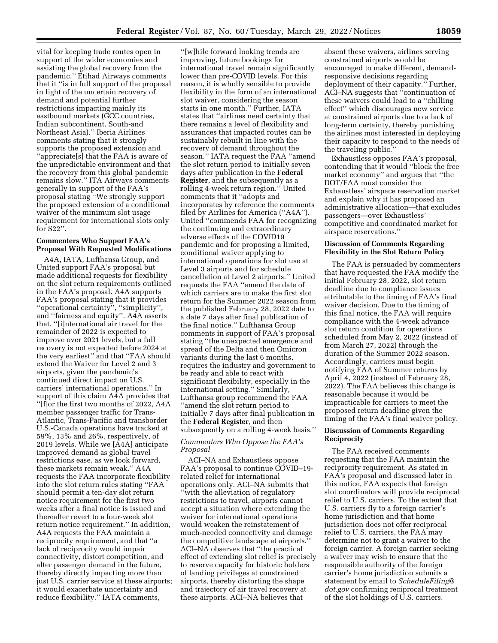vital for keeping trade routes open in support of the wider economies and assisting the global recovery from the pandemic.'' Etihad Airways comments that it ''is in full support of the proposal in light of the uncertain recovery of demand and potential further restrictions impacting mainly its eastbound markets (GCC countries, Indian subcontinent, South-and Northeast Asia).'' Iberia Airlines comments stating that it strongly supports the proposed extension and ''appreciate[s] that the FAA is aware of the unpredictable environment and that the recovery from this global pandemic remains slow.'' ITA Airways comments generally in support of the FAA's proposal stating ''We strongly support the proposed extension of a conditional waiver of the minimum slot usage requirement for international slots only for S22''.

### **Commenters Who Support FAA's Proposal With Requested Modifications**

A4A, IATA, Lufthansa Group, and United support FAA's proposal but made additional requests for flexibility on the slot return requirements outlined in the FAA's proposal. A4A supports FAA's proposal stating that it provides ''operational certainty'', ''simplicity'', and ''fairness and equity''. A4A asserts that, ''[i]nternational air travel for the remainder of 2022 is expected to improve over 2021 levels, but a full recovery is not expected before 2024 at the very earliest'' and that ''FAA should extend the Waiver for Level 2 and 3 airports, given the pandemic's continued direct impact on U.S. carriers' international operations.'' In support of this claim A4A provides that ''[f]or the first two months of 2022, A4A member passenger traffic for Trans-Atlantic, Trans-Pacific and transborder U.S.-Canada operations have tracked at 59%, 13% and 26%, respectively, of 2019 levels. While we [A4A] anticipate improved demand as global travel restrictions ease, as we look forward, these markets remain weak.'' A4A requests the FAA incorporate flexibility into the slot return rules stating ''FAA should permit a ten-day slot return notice requirement for the first two weeks after a final notice is issued and thereafter revert to a four-week slot return notice requirement.'' In addition, A4A requests the FAA maintain a reciprocity requirement, and that ''a lack of reciprocity would impair connectivity, distort competition, and alter passenger demand in the future, thereby directly impacting more than just U.S. carrier service at these airports; it would exacerbate uncertainty and reduce flexibility.'' IATA comments,

''[w]hile forward looking trends are improving, future bookings for international travel remain significantly lower than pre-COVID levels. For this reason, it is wholly sensible to provide flexibility in the form of an international slot waiver, considering the season starts in one month.'' Further, IATA states that ''airlines need certainty that there remains a level of flexibility and assurances that impacted routes can be sustainably rebuilt in line with the recovery of demand throughout the season.'' IATA request the FAA ''amend the slot return period to initially seven days after publication in the **Federal Register***,* and the subsequently as a rolling 4-week return region.'' United comments that it ''adopts and incorporates by reference the comments filed by Airlines for America (''A4A''). United ''commends FAA for recognizing the continuing and extraordinary adverse effects of the COVID19 pandemic and for proposing a limited, conditional waiver applying to international operations for slot use at Level 3 airports and for schedule cancellation at Level 2 airports.'' United requests the FAA ''amend the date of which carriers are to make the first slot return for the Summer 2022 season from the published February 28, 2022 date to a date 7 days after final publication of the final notice.'' Lufthansa Group comments in support of FAA's proposal stating ''the unexpected emergence and spread of the Delta and then Omicron variants during the last 6 months, requires the industry and government to be ready and able to react with significant flexibility, especially in the international setting.'' Similarly, Lufthansa group recommend the FAA ''amend the slot return period to initially 7 days after final publication in the **Federal Register**, and then subsequently on a rolling 4-week basis.''

### *Commenters Who Oppose the FAA's Proposal*

ACI–NA and Exhaustless oppose FAA's proposal to continue COVID–19 related relief for international operations only. ACI–NA submits that ''with the alleviation of regulatory restrictions to travel, airports cannot accept a situation where extending the waiver for international operations would weaken the reinstatement of much-needed connectivity and damage the competitive landscape at airports.'' ACI–NA observes that ''the practical effect of extending slot relief is precisely to reserve capacity for historic holders of landing privileges at constrained airports, thereby distorting the shape and trajectory of air travel recovery at these airports. ACI–NA believes that

absent these waivers, airlines serving constrained airports would be encouraged to make different, demandresponsive decisions regarding deployment of their capacity.'' Further, ACI–NA suggests that ''continuation of these waivers could lead to a ''chilling effect'' which discourages new service at constrained airports due to a lack of long-term certainty, thereby punishing the airlines most interested in deploying their capacity to respond to the needs of the traveling public.''

Exhaustless opposes FAA's proposal, contending that it would ''block the free market economy'' and argues that ''the DOT/FAA must consider the Exhaustless' airspace reservation market and explain why it has proposed an administrative allocation—that excludes passengers—over Exhaustless' competitive and coordinated market for airspace reservations.''

### **Discussion of Comments Regarding Flexibility in the Slot Return Policy**

The FAA is persuaded by commenters that have requested the FAA modify the initial February 28, 2022, slot return deadline due to compliance issues attributable to the timing of FAA's final waiver decision. Due to the timing of this final notice, the FAA will require compliance with the 4-week advance slot return condition for operations scheduled from May 2, 2022 (instead of from March 27, 2022) through the duration of the Summer 2022 season. Accordingly, carriers must begin notifying FAA of Summer returns by April 4, 2022 (instead of February 28, 2022). The FAA believes this change is reasonable because it would be impracticable for carriers to meet the proposed return deadline given the timing of the FAA's final waiver policy.

#### **Discussion of Comments Regarding Reciprocity**

The FAA received comments requesting that the FAA maintain the reciprocity requirement. As stated in FAA's proposal and discussed later in this notice, FAA expects that foreign slot coordinators will provide reciprocal relief to U.S. carriers. To the extent that U.S. carriers fly to a foreign carrier's home jurisdiction and that home jurisdiction does not offer reciprocal relief to U.S. carriers, the FAA may determine not to grant a waiver to the foreign carrier. A foreign carrier seeking a waiver may wish to ensure that the responsible authority of the foreign carrier's home jurisdiction submits a statement by email to *[ScheduleFiling@](mailto:ScheduleFiling@dot.gov) [dot.gov](mailto:ScheduleFiling@dot.gov)* confirming reciprocal treatment of the slot holdings of U.S. carriers.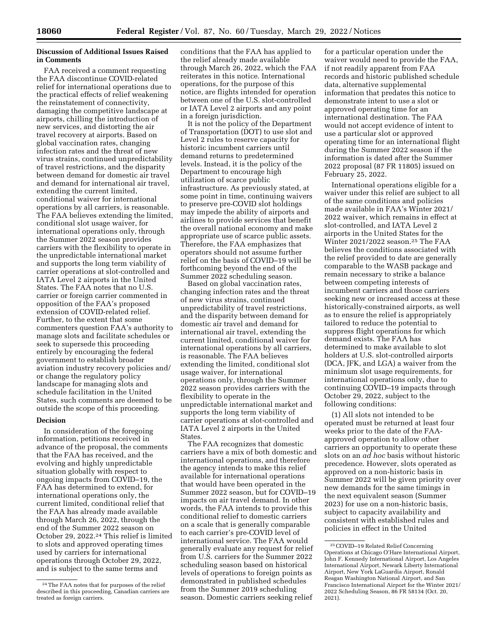### **Discussion of Additional Issues Raised in Comments**

FAA received a comment requesting the FAA discontinue COVID-related relief for international operations due to the practical effects of relief weakening the reinstatement of connectivity, damaging the competitive landscape at airports, chilling the introduction of new services, and distorting the air travel recovery at airports. Based on global vaccination rates, changing infection rates and the threat of new virus strains, continued unpredictability of travel restrictions, and the disparity between demand for domestic air travel and demand for international air travel, extending the current limited, conditional waiver for international operations by all carriers, is reasonable. The FAA believes extending the limited, conditional slot usage waiver, for international operations only, through the Summer 2022 season provides carriers with the flexibility to operate in the unpredictable international market and supports the long term viability of carrier operations at slot-controlled and IATA Level 2 airports in the United States. The FAA notes that no U.S. carrier or foreign carrier commented in opposition of the FAA's proposed extension of COVID-related relief. Further, to the extent that some commenters question FAA's authority to manage slots and facilitate schedules or seek to supersede this proceeding entirely by encouraging the federal government to establish broader aviation industry recovery policies and/ or change the regulatory policy landscape for managing slots and schedule facilitation in the United States, such comments are deemed to be outside the scope of this proceeding.

### **Decision**

In consideration of the foregoing information, petitions received in advance of the proposal, the comments that the FAA has received, and the evolving and highly unpredictable situation globally with respect to ongoing impacts from COVID–19, the FAA has determined to extend, for international operations only, the current limited, conditional relief that the FAA has already made available through March 26, 2022, through the end of the Summer 2022 season on October 29, 2022.24 This relief is limited to slots and approved operating times used by carriers for international operations through October 29, 2022, and is subject to the same terms and

conditions that the FAA has applied to the relief already made available through March 26, 2022, which the FAA reiterates in this notice. International operations, for the purpose of this notice, are flights intended for operation between one of the U.S. slot-controlled or IATA Level 2 airports and any point in a foreign jurisdiction.

It is not the policy of the Department of Transportation (DOT) to use slot and Level 2 rules to reserve capacity for historic incumbent carriers until demand returns to predetermined levels. Instead, it is the policy of the Department to encourage high utilization of scarce public infrastructure. As previously stated, at some point in time, continuing waivers to preserve pre-COVID slot holdings may impede the ability of airports and airlines to provide services that benefit the overall national economy and make appropriate use of scarce public assets. Therefore, the FAA emphasizes that operators should not assume further relief on the basis of COVID–19 will be forthcoming beyond the end of the Summer 2022 scheduling season.

Based on global vaccination rates, changing infection rates and the threat of new virus strains, continued unpredictability of travel restrictions, and the disparity between demand for domestic air travel and demand for international air travel, extending the current limited, conditional waiver for international operations by all carriers, is reasonable. The FAA believes extending the limited, conditional slot usage waiver, for international operations only, through the Summer 2022 season provides carriers with the flexibility to operate in the unpredictable international market and supports the long term viability of carrier operations at slot-controlled and IATA Level 2 airports in the United States.

The FAA recognizes that domestic carriers have a mix of both domestic and international operations, and therefore the agency intends to make this relief available for international operations that would have been operated in the Summer 2022 season, but for COVID–19 impacts on air travel demand. In other words, the FAA intends to provide this conditional relief to domestic carriers on a scale that is generally comparable to each carrier's pre-COVID level of international service. The FAA would generally evaluate any request for relief from U.S. carriers for the Summer 2022 scheduling season based on historical levels of operations to foreign points as demonstrated in published schedules from the Summer 2019 scheduling season. Domestic carriers seeking relief

for a particular operation under the waiver would need to provide the FAA, if not readily apparent from FAA records and historic published schedule data, alternative supplemental information that predates this notice to demonstrate intent to use a slot or approved operating time for an international destination. The FAA would not accept evidence of intent to use a particular slot or approved operating time for an international flight during the Summer 2022 season if the information is dated after the Summer 2022 proposal (87 FR 11805) issued on February 25, 2022.

International operations eligible for a waiver under this relief are subject to all of the same conditions and policies made available in FAA's Winter 2021/ 2022 waiver, which remains in effect at slot-controlled, and IATA Level 2 airports in the United States for the Winter 2021/2022 season.25 The FAA believes the conditions associated with the relief provided to date are generally comparable to the WASB package and remain necessary to strike a balance between competing interests of incumbent carriers and those carriers seeking new or increased access at these historically-constrained airports, as well as to ensure the relief is appropriately tailored to reduce the potential to suppress flight operations for which demand exists. The FAA has determined to make available to slot holders at U.S. slot-controlled airports (DCA, JFK, and LGA) a waiver from the minimum slot usage requirements, for international operations only, due to continuing COVID–19 impacts through October 29, 2022, subject to the following conditions:

(1) All slots not intended to be operated must be returned at least four weeks prior to the date of the FAAapproved operation to allow other carriers an opportunity to operate these slots on an *ad hoc* basis without historic precedence. However, slots operated as approved on a non-historic basis in Summer 2022 will be given priority over new demands for the same timings in the next equivalent season (Summer 2023) for use on a non-historic basis, subject to capacity availability and consistent with established rules and policies in effect in the United

<sup>24</sup>The FAA notes that for purposes of the relief described in this proceeding, Canadian carriers are treated as foreign carriers.

<sup>25</sup>COVID–19 Related Relief Concerning Operations at Chicago O'Hare International Airport, John F. Kennedy International Airport, Los Angeles International Airport, Newark Liberty International Airport, New York LaGuardia Airport, Ronald Reagan Washington National Airport, and San Francisco International Airport for the Winter 2021/ 2022 Scheduling Season, 86 FR 58134 (Oct. 20, 2021).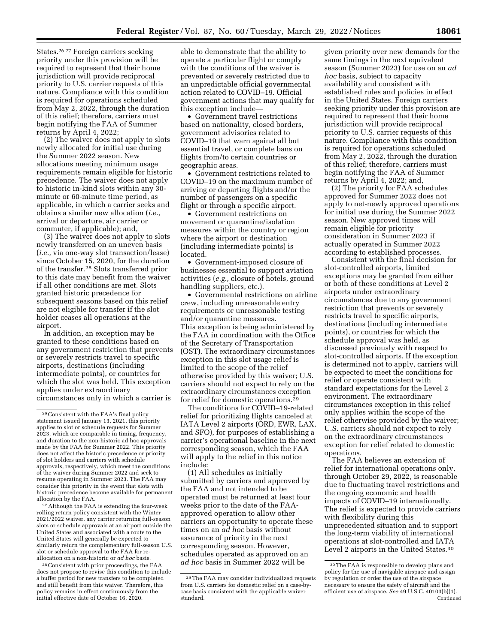States.26 27 Foreign carriers seeking priority under this provision will be required to represent that their home jurisdiction will provide reciprocal priority to U.S. carrier requests of this nature. Compliance with this condition is required for operations scheduled from May 2, 2022, through the duration of this relief; therefore, carriers must begin notifying the FAA of Summer returns by April 4, 2022;

(2) The waiver does not apply to slots newly allocated for initial use during the Summer 2022 season. New allocations meeting minimum usage requirements remain eligible for historic precedence. The waiver does not apply to historic in-kind slots within any 30 minute or 60-minute time period, as applicable, in which a carrier seeks and obtains a similar new allocation (*i.e.,*  arrival or departure, air carrier or commuter, if applicable); and,

(3) The waiver does not apply to slots newly transferred on an uneven basis (*i.e.,* via one-way slot transaction/lease) since October 15, 2020, for the duration of the transfer.28 Slots transferred prior to this date may benefit from the waiver if all other conditions are met. Slots granted historic precedence for subsequent seasons based on this relief are not eligible for transfer if the slot holder ceases all operations at the airport.

In addition, an exception may be granted to these conditions based on any government restriction that prevents or severely restricts travel to specific airports, destinations (including intermediate points), or countries for which the slot was held. This exception applies under extraordinary circumstances only in which a carrier is

27Although the FAA is extending the four-week rolling return policy consistent with the Winter 2021/2022 waiver, any carrier returning full-season slots or schedule approvals at an airport outside the United States and associated with a route to the United States will generally be expected to similarly return the complementary full-season U.S. slot or schedule approval to the FAA for reallocation on a non-historic or *ad hoc* basis.

28Consistent with prior proceedings, the FAA does not propose to revise this condition to include a buffer period for new transfers to be completed and still benefit from this waiver. Therefore, this policy remains in effect continuously from the initial effective date of October 16, 2020.

able to demonstrate that the ability to operate a particular flight or comply with the conditions of the waiver is prevented or severely restricted due to an unpredictable official governmental action related to COVID–19. Official government actions that may qualify for this exception include—

• Government travel restrictions based on nationality, closed borders, government advisories related to COVID–19 that warn against all but essential travel, or complete bans on flights from/to certain countries or geographic areas.

• Government restrictions related to COVID–19 on the maximum number of arriving or departing flights and/or the number of passengers on a specific flight or through a specific airport.

• Government restrictions on movement or quarantine/isolation measures within the country or region where the airport or destination (including intermediate points) is located.

• Government-imposed closure of businesses essential to support aviation activities (*e.g.,* closure of hotels, ground handling suppliers, etc.).

• Governmental restrictions on airline crew, including unreasonable entry requirements or unreasonable testing and/or quarantine measures. This exception is being administered by the FAA in coordination with the Office of the Secretary of Transportation (OST). The extraordinary circumstances exception in this slot usage relief is limited to the scope of the relief otherwise provided by this waiver; U.S. carriers should not expect to rely on the extraordinary circumstances exception for relief for domestic operations.29

The conditions for COVID–19-related relief for prioritizing flights canceled at IATA Level 2 airports (ORD, EWR, LAX, and SFO), for purposes of establishing a carrier's operational baseline in the next corresponding season, which the FAA will apply to the relief in this notice include:

(1) All schedules as initially submitted by carriers and approved by the FAA and not intended to be operated must be returned at least four weeks prior to the date of the FAAapproved operation to allow other carriers an opportunity to operate these times on an *ad hoc* basis without assurance of priority in the next corresponding season. However, schedules operated as approved on an *ad hoc* basis in Summer 2022 will be

given priority over new demands for the same timings in the next equivalent season (Summer 2023) for use on an *ad hoc* basis, subject to capacity availability and consistent with established rules and policies in effect in the United States. Foreign carriers seeking priority under this provision are required to represent that their home jurisdiction will provide reciprocal priority to U.S. carrier requests of this nature. Compliance with this condition is required for operations scheduled from May 2, 2022, through the duration of this relief; therefore, carriers must begin notifying the FAA of Summer returns by April 4, 2022; and,

(2) The priority for FAA schedules approved for Summer 2022 does not apply to net-newly approved operations for initial use during the Summer 2022 season. New approved times will remain eligible for priority consideration in Summer 2023 if actually operated in Summer 2022 according to established processes.

Consistent with the final decision for slot-controlled airports, limited exceptions may be granted from either or both of these conditions at Level 2 airports under extraordinary circumstances due to any government restriction that prevents or severely restricts travel to specific airports, destinations (including intermediate points), or countries for which the schedule approval was held, as discussed previously with respect to slot-controlled airports. If the exception is determined not to apply, carriers will be expected to meet the conditions for relief or operate consistent with standard expectations for the Level 2 environment. The extraordinary circumstances exception in this relief only applies within the scope of the relief otherwise provided by the waiver; U.S. carriers should not expect to rely on the extraordinary circumstances exception for relief related to domestic operations.

The FAA believes an extension of relief for international operations only, through October 29, 2022, is reasonable due to fluctuating travel restrictions and the ongoing economic and health impacts of COVID–19 internationally. The relief is expected to provide carriers with flexibility during this unprecedented situation and to support the long-term viability of international operations at slot-controlled and IATA Level 2 airports in the United States.30

<sup>26</sup>Consistent with the FAA's final policy statement issued January 13, 2021, this priority applies to slot or schedule requests for Summer 2023, which are comparable in timing, frequency, and duration to the non-historic ad hoc approvals made by the FAA for Summer 2022. This priority does not affect the historic precedence or priority of slot holders and carriers with schedule approvals, respectively, which meet the conditions of the waiver during Summer 2022 and seek to resume operating in Summer 2023. The FAA may consider this priority in the event that slots with historic precedence become available for permanent allocation by the FAA.

<sup>29</sup>The FAA may consider individualized requests from U.S. carriers for domestic relief on a case-bycase basis consistent with the applicable waiver standard.

<sup>30</sup>The FAA is responsible to develop plans and policy for the use of navigable airspace and assign by regulation or order the use of the airspace necessary to ensure the safety of aircraft and the efficient use of airspace. *See* 49 U.S.C. 40103(b)(1). Continued